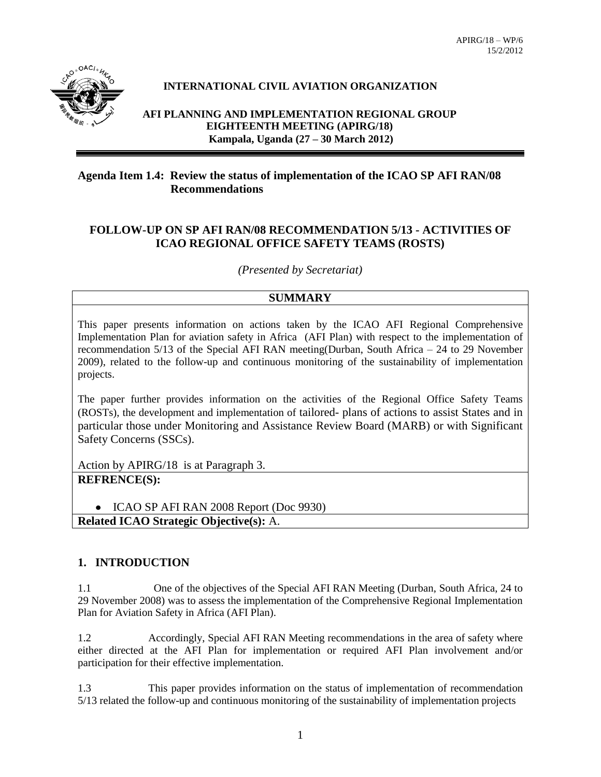

### **INTERNATIONAL CIVIL AVIATION ORGANIZATION**

**AFI PLANNING AND IMPLEMENTATION REGIONAL GROUP EIGHTEENTH MEETING (APIRG/18) Kampala, Uganda (27 – 30 March 2012)**

#### **Agenda Item 1.4: Review the status of implementation of the ICAO SP AFI RAN/08 Recommendations**

#### **FOLLOW-UP ON SP AFI RAN/08 RECOMMENDATION 5/13 - ACTIVITIES OF ICAO REGIONAL OFFICE SAFETY TEAMS (ROSTS)**

*(Presented by Secretariat)*

### **SUMMARY**

This paper presents information on actions taken by the ICAO AFI Regional Comprehensive Implementation Plan for aviation safety in Africa (AFI Plan) with respect to the implementation of recommendation 5/13 of the Special AFI RAN meeting(Durban, South Africa – 24 to 29 November 2009), related to the follow-up and continuous monitoring of the sustainability of implementation projects.

The paper further provides information on the activities of the Regional Office Safety Teams (ROSTs), the development and implementation of tailored- plans of actions to assist States and in particular those under Monitoring and Assistance Review Board (MARB) or with Significant Safety Concerns (SSCs).

Action by APIRG/18 is at Paragraph 3. **REFRENCE(S):**

• ICAO SP AFI RAN 2008 Report (Doc 9930) **Related ICAO Strategic Objective(s):** A.

### **1. INTRODUCTION**

1.1 One of the objectives of the Special AFI RAN Meeting (Durban, South Africa, 24 to 29 November 2008) was to assess the implementation of the Comprehensive Regional Implementation Plan for Aviation Safety in Africa (AFI Plan).

1.2 Accordingly, Special AFI RAN Meeting recommendations in the area of safety where either directed at the AFI Plan for implementation or required AFI Plan involvement and/or participation for their effective implementation.

1.3 This paper provides information on the status of implementation of recommendation 5/13 related the follow-up and continuous monitoring of the sustainability of implementation projects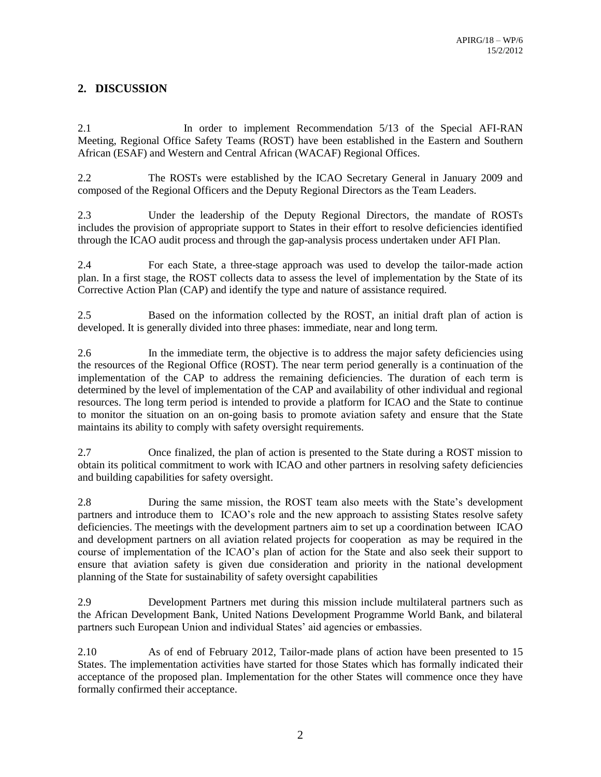# **2. DISCUSSION**

2.1 In order to implement Recommendation 5/13 of the Special AFI-RAN Meeting, Regional Office Safety Teams (ROST) have been established in the Eastern and Southern African (ESAF) and Western and Central African (WACAF) Regional Offices.

2.2 The ROSTs were established by the ICAO Secretary General in January 2009 and composed of the Regional Officers and the Deputy Regional Directors as the Team Leaders.

2.3 Under the leadership of the Deputy Regional Directors, the mandate of ROSTs includes the provision of appropriate support to States in their effort to resolve deficiencies identified through the ICAO audit process and through the gap-analysis process undertaken under AFI Plan.

2.4 For each State, a three-stage approach was used to develop the tailor-made action plan. In a first stage, the ROST collects data to assess the level of implementation by the State of its Corrective Action Plan (CAP) and identify the type and nature of assistance required.

2.5 Based on the information collected by the ROST, an initial draft plan of action is developed. It is generally divided into three phases: immediate, near and long term.

2.6 In the immediate term, the objective is to address the major safety deficiencies using the resources of the Regional Office (ROST). The near term period generally is a continuation of the implementation of the CAP to address the remaining deficiencies. The duration of each term is determined by the level of implementation of the CAP and availability of other individual and regional resources. The long term period is intended to provide a platform for ICAO and the State to continue to monitor the situation on an on-going basis to promote aviation safety and ensure that the State maintains its ability to comply with safety oversight requirements.

2.7 Once finalized, the plan of action is presented to the State during a ROST mission to obtain its political commitment to work with ICAO and other partners in resolving safety deficiencies and building capabilities for safety oversight.

2.8 During the same mission, the ROST team also meets with the State's development partners and introduce them to ICAO's role and the new approach to assisting States resolve safety deficiencies. The meetings with the development partners aim to set up a coordination between ICAO and development partners on all aviation related projects for cooperation as may be required in the course of implementation of the ICAO's plan of action for the State and also seek their support to ensure that aviation safety is given due consideration and priority in the national development planning of the State for sustainability of safety oversight capabilities

2.9 Development Partners met during this mission include multilateral partners such as the African Development Bank, United Nations Development Programme World Bank, and bilateral partners such European Union and individual States' aid agencies or embassies.

2.10 As of end of February 2012, Tailor-made plans of action have been presented to 15 States. The implementation activities have started for those States which has formally indicated their acceptance of the proposed plan. Implementation for the other States will commence once they have formally confirmed their acceptance.